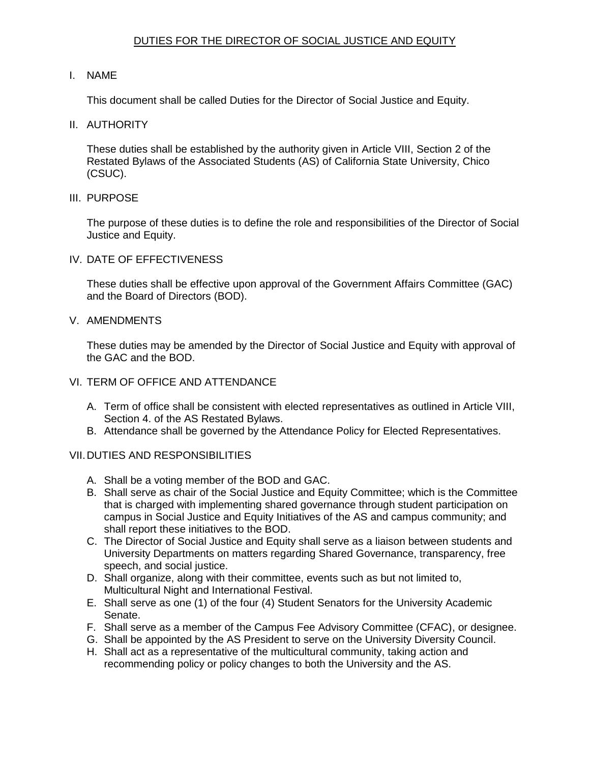## DUTIES FOR THE DIRECTOR OF SOCIAL JUSTICE AND EQUITY

## I. NAME

This document shall be called Duties for the Director of Social Justice and Equity.

II. AUTHORITY

 These duties shall be established by the authority given in Article VIII, Section 2 of the Restated Bylaws of the Associated Students (AS) of California State University, Chico (CSUC).

III. PURPOSE

 The purpose of these duties is to define the role and responsibilities of the Director of Social Justice and Equity.

IV. DATE OF EFFECTIVENESS

 These duties shall be effective upon approval of the Government Affairs Committee (GAC) and the Board of Directors (BOD).

V. AMENDMENTS

 These duties may be amended by the Director of Social Justice and Equity with approval of the GAC and the BOD.

- VI. TERM OF OFFICE AND ATTENDANCE
	- A. Term of office shall be consistent with elected representatives as outlined in Article VIII, Section 4. of the AS Restated Bylaws.
	- B. Attendance shall be governed by the Attendance Policy for Elected Representatives.

## VII.DUTIES AND RESPONSIBILITIES

- A. Shall be a voting member of the BOD and GAC.
- B. Shall serve as chair of the Social Justice and Equity Committee; which is the Committee that is charged with implementing shared governance through student participation on campus in Social Justice and Equity Initiatives of the AS and campus community; and shall report these initiatives to the BOD.
- C. The Director of Social Justice and Equity shall serve as a liaison between students and University Departments on matters regarding Shared Governance, transparency, free speech, and social justice.
- D. Shall organize, along with their committee, events such as but not limited to, Multicultural Night and International Festival.
- E. Shall serve as one (1) of the four (4) Student Senators for the University Academic Senate.
- F. Shall serve as a member of the Campus Fee Advisory Committee (CFAC), or designee.
- G. Shall be appointed by the AS President to serve on the University Diversity Council.
- H. Shall act as a representative of the multicultural community, taking action and recommending policy or policy changes to both the University and the AS.